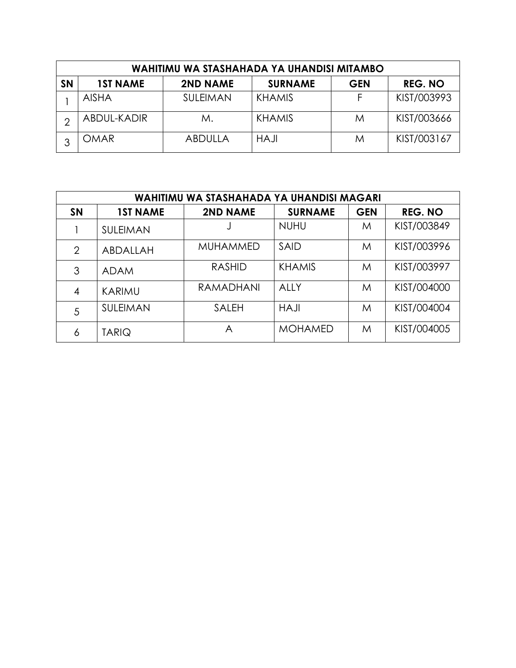| WAHITIMU WA STASHAHADA YA UHANDISI MITAMBO |                 |                 |                |            |                |  |  |  |  |  |
|--------------------------------------------|-----------------|-----------------|----------------|------------|----------------|--|--|--|--|--|
| <b>SN</b>                                  | <b>1ST NAME</b> | <b>2ND NAME</b> | <b>SURNAME</b> | <b>GEN</b> | <b>REG. NO</b> |  |  |  |  |  |
|                                            | <b>AISHA</b>    | <b>SULEIMAN</b> | <b>KHAMIS</b>  | F          | KIST/003993    |  |  |  |  |  |
| ⌒                                          | ABDUL-KADIR     | М.              | <b>KHAMIS</b>  | M          | KIST/003666    |  |  |  |  |  |
| っ                                          | <b>OMAR</b>     | <b>ABDULLA</b>  | <b>HAJI</b>    | M          | KIST/003167    |  |  |  |  |  |

|           | WAHITIMU WA STASHAHADA YA UHANDISI MAGARI |                 |                |            |                |  |  |  |  |  |  |
|-----------|-------------------------------------------|-----------------|----------------|------------|----------------|--|--|--|--|--|--|
| <b>SN</b> | <b>1ST NAME</b>                           | <b>2ND NAME</b> | <b>SURNAME</b> | <b>GEN</b> | <b>REG. NO</b> |  |  |  |  |  |  |
|           | SULEIMAN                                  |                 | <b>NUHU</b>    | M          | KIST/003849    |  |  |  |  |  |  |
| 2         | ABDALLAH                                  | <b>MUHAMMED</b> | <b>SAID</b>    | M          | KIST/003996    |  |  |  |  |  |  |
| 3         | <b>ADAM</b>                               | <b>RASHID</b>   | <b>KHAMIS</b>  | M          | KIST/003997    |  |  |  |  |  |  |
| 4         | KARIMU                                    | RAMADHANI       | AIIY           | M          | KIST/004000    |  |  |  |  |  |  |
| 5         | SULEIMAN                                  | <b>SALEH</b>    | <b>HAJI</b>    | M          | KIST/004004    |  |  |  |  |  |  |
| 6         | <b>TARIQ</b>                              | A               | <b>MOHAMED</b> | M          | KIST/004005    |  |  |  |  |  |  |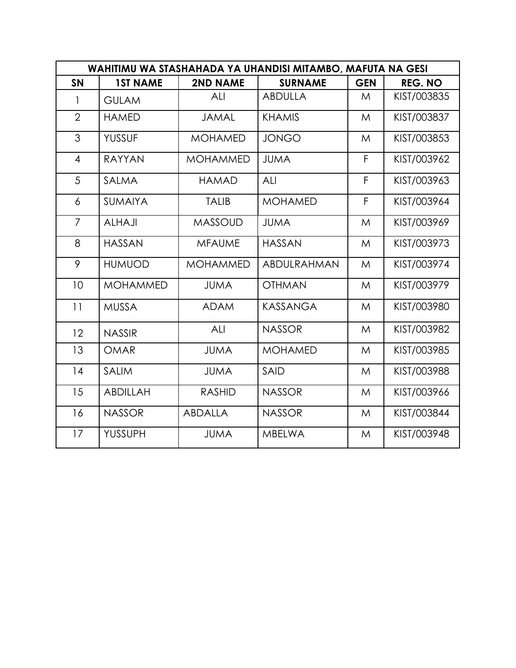|                | WAHITIMU WA STASHAHADA YA UHANDISI MITAMBO, MAFUTA NA GESI |                 |                 |            |                |  |  |  |  |  |
|----------------|------------------------------------------------------------|-----------------|-----------------|------------|----------------|--|--|--|--|--|
| <b>SN</b>      | <b>1ST NAME</b>                                            | <b>2ND NAME</b> | <b>SURNAME</b>  | <b>GEN</b> | <b>REG. NO</b> |  |  |  |  |  |
| 1              | <b>GULAM</b>                                               | ALI             | <b>ABDULLA</b>  | M          | KIST/003835    |  |  |  |  |  |
| $\overline{2}$ | <b>HAMED</b>                                               | <b>JAMAL</b>    | <b>KHAMIS</b>   | M          | KIST/003837    |  |  |  |  |  |
| 3              | <b>YUSSUF</b>                                              | <b>MOHAMED</b>  | <b>JONGO</b>    | M          | KIST/003853    |  |  |  |  |  |
| $\overline{4}$ | <b>RAYYAN</b>                                              | <b>MOHAMMED</b> | <b>JUMA</b>     | F          | KIST/003962    |  |  |  |  |  |
| 5              | <b>SALMA</b>                                               | <b>HAMAD</b>    | ALI             | F          | KIST/003963    |  |  |  |  |  |
| 6              | SUMAIYA                                                    | <b>TALIB</b>    | <b>MOHAMED</b>  | F          | KIST/003964    |  |  |  |  |  |
| 7              | <b>ALHAJI</b>                                              | <b>MASSOUD</b>  | <b>JUMA</b>     | M          | KIST/003969    |  |  |  |  |  |
| 8              | <b>HASSAN</b>                                              | <b>MFAUME</b>   | <b>HASSAN</b>   | M          | KIST/003973    |  |  |  |  |  |
| 9              | <b>HUMUOD</b>                                              | <b>MOHAMMED</b> | ABDULRAHMAN     | M          | KIST/003974    |  |  |  |  |  |
| 10             | <b>MOHAMMED</b>                                            | <b>JUMA</b>     | <b>OTHMAN</b>   | M          | KIST/003979    |  |  |  |  |  |
| 11             | <b>MUSSA</b>                                               | <b>ADAM</b>     | <b>KASSANGA</b> | M          | KIST/003980    |  |  |  |  |  |
| 12             | <b>NASSIR</b>                                              | ALI             | <b>NASSOR</b>   | M          | KIST/003982    |  |  |  |  |  |
| 13             | <b>OMAR</b>                                                | <b>JUMA</b>     | <b>MOHAMED</b>  | M          | KIST/003985    |  |  |  |  |  |
| 14             | <b>SALIM</b>                                               | <b>JUMA</b>     | <b>SAID</b>     | M          | KIST/003988    |  |  |  |  |  |
| 15             | <b>ABDILLAH</b>                                            | <b>RASHID</b>   | <b>NASSOR</b>   | M          | KIST/003966    |  |  |  |  |  |
| 16             | <b>NASSOR</b>                                              | <b>ABDALLA</b>  | <b>NASSOR</b>   | M          | KIST/003844    |  |  |  |  |  |
| 17             | <b>YUSSUPH</b>                                             | <b>JUMA</b>     | <b>MBELWA</b>   | M          | KIST/003948    |  |  |  |  |  |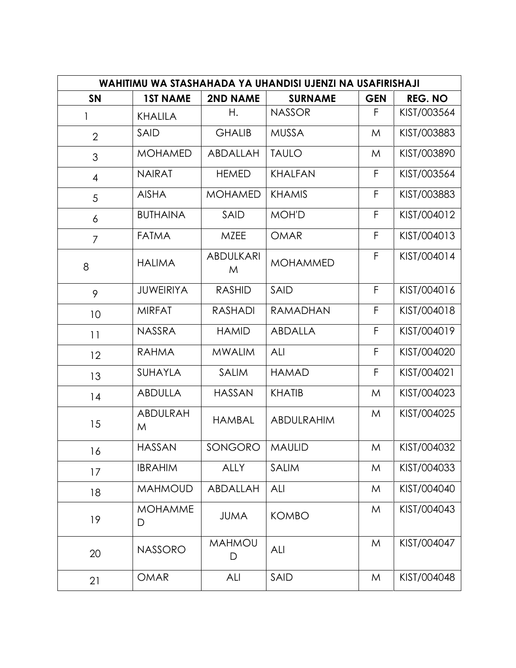| WAHITIMU WA STASHAHADA YA UHANDISI UJENZI NA USAFIRISHAJI |                     |                       |                 |            |                |  |  |  |  |
|-----------------------------------------------------------|---------------------|-----------------------|-----------------|------------|----------------|--|--|--|--|
| <b>SN</b>                                                 | <b>1ST NAME</b>     | <b>2ND NAME</b>       | <b>SURNAME</b>  | <b>GEN</b> | <b>REG. NO</b> |  |  |  |  |
| 1                                                         | <b>KHALILA</b>      | Η.                    | <b>NASSOR</b>   | F          | KIST/003564    |  |  |  |  |
| $\overline{2}$                                            | SAID                | <b>GHALIB</b>         | <b>MUSSA</b>    | M          | KIST/003883    |  |  |  |  |
| 3                                                         | <b>MOHAMED</b>      | ABDALLAH              | <b>TAULO</b>    | M          | KIST/003890    |  |  |  |  |
| 4                                                         | <b>NAIRAT</b>       | <b>HEMED</b>          | <b>KHALFAN</b>  | F          | KIST/003564    |  |  |  |  |
| 5                                                         | <b>AISHA</b>        | <b>MOHAMED</b>        | <b>KHAMIS</b>   | F          | KIST/003883    |  |  |  |  |
| 6                                                         | <b>BUTHAINA</b>     | SAID                  | <b>MOH'D</b>    | F          | KIST/004012    |  |  |  |  |
| $\overline{7}$                                            | <b>FATMA</b>        | <b>MZEE</b>           | <b>OMAR</b>     | F          | KIST/004013    |  |  |  |  |
| 8                                                         | <b>HALIMA</b>       | <b>ABDULKARI</b><br>M | <b>MOHAMMED</b> | F          | KIST/004014    |  |  |  |  |
| 9                                                         | <b>JUWEIRIYA</b>    | <b>RASHID</b>         | SAID            | F          | KIST/004016    |  |  |  |  |
| 10                                                        | <b>MIRFAT</b>       | <b>RASHADI</b>        | <b>RAMADHAN</b> | F          | KIST/004018    |  |  |  |  |
| 11                                                        | <b>NASSRA</b>       | <b>HAMID</b>          | ABDALLA         | F          | KIST/004019    |  |  |  |  |
| 12                                                        | <b>RAHMA</b>        | <b>MWALIM</b>         | ALI             | F          | KIST/004020    |  |  |  |  |
| 13                                                        | SUHAYLA             | <b>SALIM</b>          | <b>HAMAD</b>    | F          | KIST/004021    |  |  |  |  |
| 14                                                        | <b>ABDULLA</b>      | <b>HASSAN</b>         | <b>KHATIB</b>   | M          | KIST/004023    |  |  |  |  |
| 15                                                        | ABDULRAH<br>M       | <b>HAMBAL</b>         | ABDULRAHIM      | M          | KIST/004025    |  |  |  |  |
| 16                                                        | <b>HASSAN</b>       | SONGORO               | <b>MAULID</b>   | M          | KIST/004032    |  |  |  |  |
| 17                                                        | <b>IBRAHIM</b>      | <b>ALLY</b>           | <b>SALIM</b>    | M          | KIST/004033    |  |  |  |  |
| 18                                                        | <b>MAHMOUD</b>      | ABDALLAH              | ALI             | M          | KIST/004040    |  |  |  |  |
| 19                                                        | <b>MOHAMME</b><br>D | <b>JUMA</b>           | <b>KOMBO</b>    | M          | KIST/004043    |  |  |  |  |
| 20                                                        | <b>NASSORO</b>      | <b>MAHMOU</b><br>D    | ALI             | M          | KIST/004047    |  |  |  |  |
| 21                                                        | <b>OMAR</b>         | ALI                   | SAID            | M          | KIST/004048    |  |  |  |  |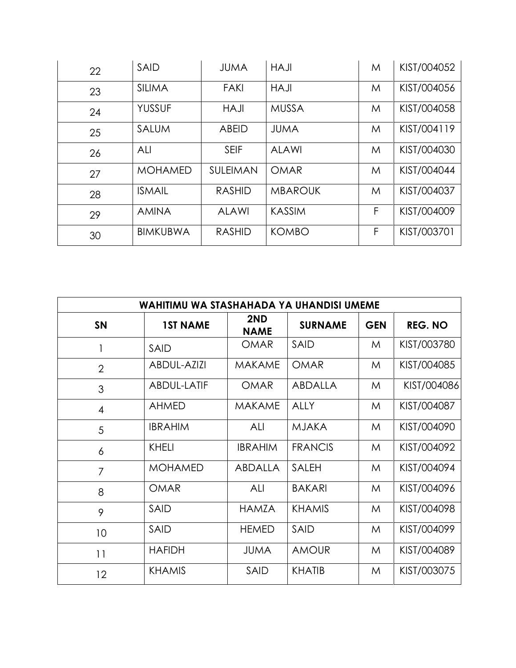| 22 | <b>SAID</b>     | <b>JUMA</b>   | <b>HAJI</b>    | M | KIST/004052 |
|----|-----------------|---------------|----------------|---|-------------|
| 23 | <b>SILIMA</b>   | <b>FAKI</b>   | <b>HAJI</b>    | M | KIST/004056 |
| 24 | <b>YUSSUF</b>   | <b>HAJI</b>   | <b>MUSSA</b>   | M | KIST/004058 |
| 25 | <b>SALUM</b>    | <b>ABEID</b>  | <b>JUMA</b>    | M | KIST/004119 |
| 26 | ALI             | <b>SEIF</b>   | <b>ALAWI</b>   | M | KIST/004030 |
| 27 | <b>MOHAMED</b>  | SULEIMAN      | <b>OMAR</b>    | M | KIST/004044 |
| 28 | <b>ISMAIL</b>   | <b>RASHID</b> | <b>MBAROUK</b> | M | KIST/004037 |
| 29 | <b>AMINA</b>    | <b>ALAWI</b>  | <b>KASSIM</b>  | F | KIST/004009 |
| 30 | <b>BIMKUBWA</b> | <b>RASHID</b> | <b>KOMBO</b>   | F | KIST/003701 |

| WAHITIMU WA STASHAHADA YA UHANDISI UMEME |                    |                    |                |            |                |  |  |  |  |
|------------------------------------------|--------------------|--------------------|----------------|------------|----------------|--|--|--|--|
| <b>SN</b>                                | <b>1ST NAME</b>    | 2ND<br><b>NAME</b> | <b>SURNAME</b> | <b>GEN</b> | <b>REG. NO</b> |  |  |  |  |
| 1                                        | <b>SAID</b>        | <b>OMAR</b>        | SAID           | M          | KIST/003780    |  |  |  |  |
| $\overline{2}$                           | <b>ABDUL-AZIZI</b> | <b>MAKAME</b>      | <b>OMAR</b>    | M          | KIST/004085    |  |  |  |  |
| 3                                        | ABDUL-LATIF        | <b>OMAR</b>        | ABDALLA        | M          | KIST/004086    |  |  |  |  |
| $\overline{4}$                           | <b>AHMED</b>       | <b>MAKAME</b>      | <b>ALLY</b>    | M          | KIST/004087    |  |  |  |  |
| 5                                        | <b>IBRAHIM</b>     | ALI                | <b>MJAKA</b>   | M          | KIST/004090    |  |  |  |  |
| 6                                        | <b>KHELI</b>       | <b>IBRAHIM</b>     | <b>FRANCIS</b> | M          | KIST/004092    |  |  |  |  |
| 7                                        | <b>MOHAMED</b>     | <b>ABDALLA</b>     | <b>SALEH</b>   | M          | KIST/004094    |  |  |  |  |
| 8                                        | <b>OMAR</b>        | ALI                | <b>BAKARI</b>  | M          | KIST/004096    |  |  |  |  |
| 9                                        | <b>SAID</b>        | HAMZA              | <b>KHAMIS</b>  | M          | KIST/004098    |  |  |  |  |
| 10                                       | <b>SAID</b>        | <b>HEMED</b>       | <b>SAID</b>    | M          | KIST/004099    |  |  |  |  |
| 11                                       | <b>HAFIDH</b>      | <b>JUMA</b>        | <b>AMOUR</b>   | M          | KIST/004089    |  |  |  |  |
| 12                                       | <b>KHAMIS</b>      | <b>SAID</b>        | <b>KHATIB</b>  | M          | KIST/003075    |  |  |  |  |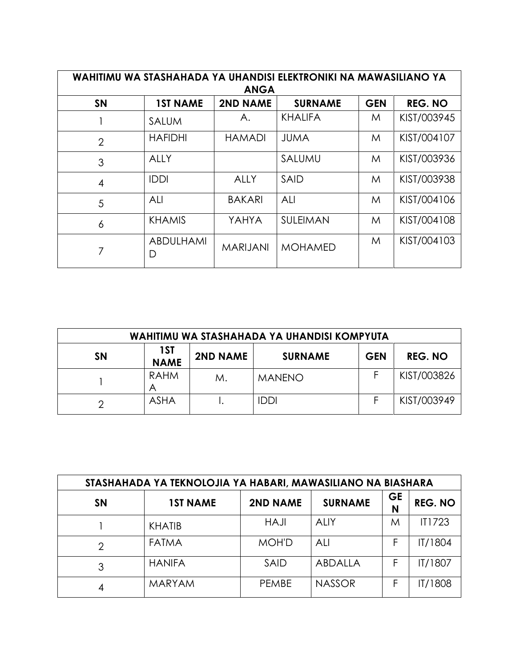| WAHITIMU WA STASHAHADA YA UHANDISI ELEKTRONIKI NA MAWASILIANO YA<br><b>ANGA</b> |                 |                 |                |            |                |  |  |  |  |  |
|---------------------------------------------------------------------------------|-----------------|-----------------|----------------|------------|----------------|--|--|--|--|--|
| <b>SN</b>                                                                       | <b>1ST NAME</b> | <b>2ND NAME</b> | <b>SURNAME</b> | <b>GEN</b> | <b>REG. NO</b> |  |  |  |  |  |
|                                                                                 | <b>SALUM</b>    | А.              | <b>KHALIFA</b> | M          | KIST/003945    |  |  |  |  |  |
| $\overline{2}$                                                                  | <b>HAFIDHI</b>  | <b>HAMADI</b>   | <b>JUMA</b>    | M          | KIST/004107    |  |  |  |  |  |
| 3                                                                               | ALLY            |                 | SALUMU         | M          | KIST/003936    |  |  |  |  |  |
| 4                                                                               | <b>IDDI</b>     | <b>ALLY</b>     | <b>SAID</b>    | M          | KIST/003938    |  |  |  |  |  |
| 5                                                                               | ALI             | <b>BAKARI</b>   | ALI            | M          | KIST/004106    |  |  |  |  |  |
| 6                                                                               | <b>KHAMIS</b>   | YAHYA           | SULEIMAN       | M          | KIST/004108    |  |  |  |  |  |
| 7                                                                               | ABDULHAMI<br>D  | <b>MARIJANI</b> | <b>MOHAMED</b> | M          | KIST/004103    |  |  |  |  |  |

| WAHITIMU WA STASHAHADA YA UHANDISI KOMPYUTA |                    |                 |                |            |                |  |  |  |  |  |
|---------------------------------------------|--------------------|-----------------|----------------|------------|----------------|--|--|--|--|--|
| <b>SN</b>                                   | 1ST<br><b>NAME</b> | <b>2ND NAME</b> | <b>SURNAME</b> | <b>GEN</b> | <b>REG. NO</b> |  |  |  |  |  |
|                                             | <b>RAHM</b><br>Α   | М.              | <b>MANENO</b>  |            | KIST/003826    |  |  |  |  |  |
|                                             | <b>ASHA</b>        |                 | <b>IDDI</b>    |            | KIST/003949    |  |  |  |  |  |

| STASHAHADA YA TEKNOLOJIA YA HABARI, MAWASILIANO NA BIASHARA |                 |                 |                |                |                |  |  |  |  |  |
|-------------------------------------------------------------|-----------------|-----------------|----------------|----------------|----------------|--|--|--|--|--|
| <b>SN</b>                                                   | <b>1ST NAME</b> | <b>2ND NAME</b> | <b>SURNAME</b> | <b>GE</b><br>N | <b>REG. NO</b> |  |  |  |  |  |
|                                                             | <b>KHATIB</b>   | HAJI            | <b>ALIY</b>    | Μ              | <b>IT1723</b>  |  |  |  |  |  |
| 2                                                           | <b>FATMA</b>    | <b>MOH'D</b>    | ALI            | F              | IT/1804        |  |  |  |  |  |
| 3                                                           | <b>HANIFA</b>   | SAID            | ABDALLA        | F              | IT/1807        |  |  |  |  |  |
| 4                                                           | <b>MARYAM</b>   | PEMBE           | <b>NASSOR</b>  | F              | IT/1808        |  |  |  |  |  |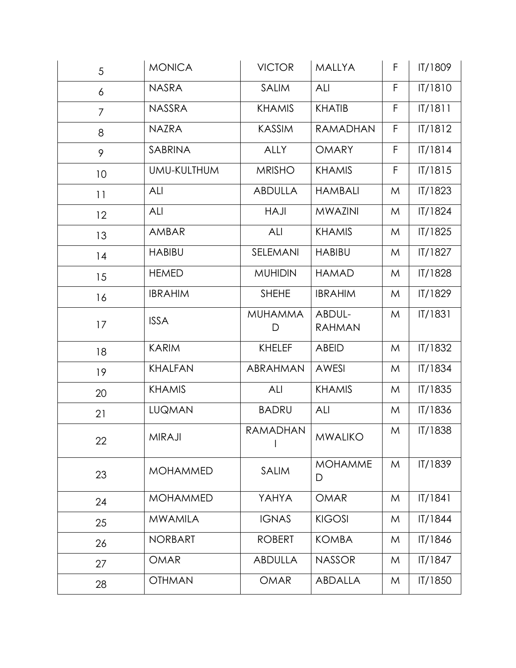| 5              | <b>MONICA</b>   | <b>VICTOR</b>                        | <b>MALLYA</b>           | F. | IT/1809 |
|----------------|-----------------|--------------------------------------|-------------------------|----|---------|
| 6              | <b>NASRA</b>    | <b>SALIM</b>                         | ALI                     | F  | IT/1810 |
| $\overline{7}$ | <b>NASSRA</b>   | <b>KHAMIS</b>                        | <b>KHATIB</b>           |    | IT/1811 |
| 8              | <b>NAZRA</b>    | <b>KASSIM</b>                        | RAMADHAN                | F  | IT/1812 |
| 9              | SABRINA         | <b>ALLY</b>                          | <b>OMARY</b>            | F  | IT/1814 |
| 10             | UMU-KULTHUM     | <b>MRISHO</b>                        | <b>KHAMIS</b>           | F  | IT/1815 |
| 11             | ALI             | <b>ABDULLA</b>                       | <b>HAMBALI</b>          | M  | IT/1823 |
| 12             | ALI             | <b>HAJI</b>                          | <b>MWAZINI</b>          | M  | IT/1824 |
| 13             | AMBAR           | ALI                                  | <b>KHAMIS</b>           | M  | IT/1825 |
| 14             | <b>HABIBU</b>   | SELEMANI                             | <b>HABIBU</b>           | M  | IT/1827 |
| 15             | <b>HEMED</b>    | <b>MUHIDIN</b>                       | <b>HAMAD</b>            | M  | IT/1828 |
| 16             | <b>IBRAHIM</b>  | <b>SHEHE</b>                         | <b>IBRAHIM</b>          | M  | IT/1829 |
| 17             | <b>ISSA</b>     | <b>MUHAMMA</b><br>D                  | ABDUL-<br><b>RAHMAN</b> |    | IT/1831 |
| 18             | <b>KARIM</b>    | <b>KHELEF</b>                        | <b>ABEID</b>            | M  | IT/1832 |
| 19             | <b>KHALFAN</b>  | ABRAHMAN                             | <b>AWESI</b>            | M  | IT/1834 |
| 20             | <b>KHAMIS</b>   | ALI                                  | <b>KHAMIS</b>           | M  | IT/1835 |
| 21             | <b>LUQMAN</b>   | <b>BADRU</b>                         | ALI                     | M  | IT/1836 |
| 22             | MIRAJI          | RAMADHAN<br>$\overline{\phantom{a}}$ | <b>MWALIKO</b>          | M  | IT/1838 |
| 23             | <b>MOHAMMED</b> | <b>SALIM</b>                         | <b>MOHAMME</b><br>D     | M  | IT/1839 |
| 24             | <b>MOHAMMED</b> | YAHYA                                | <b>OMAR</b>             | M  | T/1841  |
| 25             | <b>MWAMILA</b>  | <b>IGNAS</b>                         | <b>KIGOSI</b>           | M  | IT/1844 |
| 26             | <b>NORBART</b>  | <b>ROBERT</b>                        | <b>KOMBA</b>            | M  | IT/1846 |
| 27             | <b>OMAR</b>     | <b>ABDULLA</b>                       | <b>NASSOR</b>           | M  | IT/1847 |
| 28             | <b>OTHMAN</b>   | <b>OMAR</b>                          | ABDALLA                 | M  | IT/1850 |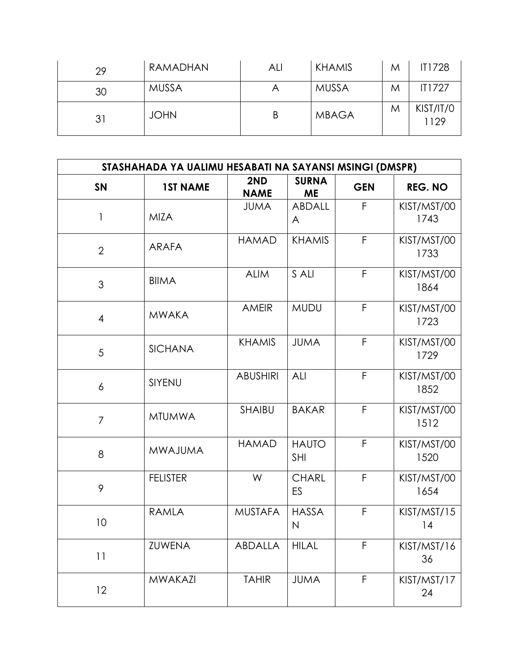| 29 | RAMADHAN     | ALI | <b>KHAMIS</b> | M | IT1728            |
|----|--------------|-----|---------------|---|-------------------|
| 30 | <b>MUSSA</b> | Α   | <b>MUSSA</b>  | M | IT1727            |
| 31 | <b>JOHN</b>  | Β   | <b>MBAGA</b>  | M | KIST/IT/0<br>1129 |

| STASHAHADA YA UALIMU HESABATI NA SAYANSI MSINGI (DMSPR) |                 |                    |                              |            |                     |  |  |  |
|---------------------------------------------------------|-----------------|--------------------|------------------------------|------------|---------------------|--|--|--|
| <b>SN</b>                                               | <b>1ST NAME</b> | 2ND<br><b>NAME</b> | <b>SURNA</b><br><b>ME</b>    | <b>GEN</b> | <b>REG. NO</b>      |  |  |  |
| 1                                                       | <b>MIZA</b>     | <b>JUMA</b>        | ABDALL<br>A                  | F          | KIST/MST/00<br>1743 |  |  |  |
| $\overline{2}$                                          | <b>ARAFA</b>    | <b>HAMAD</b>       | <b>KHAMIS</b>                | F          | KIST/MST/00<br>1733 |  |  |  |
| 3                                                       | <b>BIIMA</b>    | <b>ALIM</b>        | S ALI                        | F          | KIST/MST/00<br>1864 |  |  |  |
| $\overline{4}$                                          | <b>MWAKA</b>    | <b>AMEIR</b>       | <b>MUDU</b>                  | F          | KIST/MST/00<br>1723 |  |  |  |
| 5                                                       | <b>SICHANA</b>  | <b>KHAMIS</b>      | <b>JUMA</b>                  | F          | KIST/MST/00<br>1729 |  |  |  |
| 6                                                       | SIYENU          | <b>ABUSHIRI</b>    | ALI                          | F          | KIST/MST/00<br>1852 |  |  |  |
| $\overline{7}$                                          | <b>MTUMWA</b>   | <b>SHAIBU</b>      | <b>BAKAR</b>                 | F          | KIST/MST/00<br>1512 |  |  |  |
| 8                                                       | <b>MWAJUMA</b>  | <b>HAMAD</b>       | <b>HAUTO</b><br><b>SHI</b>   | F          | KIST/MST/00<br>1520 |  |  |  |
| 9                                                       | <b>FELISTER</b> | W                  | <b>CHARL</b><br>ES           | F          | KIST/MST/00<br>1654 |  |  |  |
| 10                                                      | <b>RAMLA</b>    | <b>MUSTAFA</b>     | <b>HASSA</b><br>$\mathsf{N}$ | F          | KIST/MST/15<br> 4   |  |  |  |
| 11                                                      | <b>ZUWENA</b>   | ABDALLA            | <b>HILAL</b>                 | F          | KIST/MST/16<br>36   |  |  |  |
| 12                                                      | <b>MWAKAZI</b>  | <b>TAHIR</b>       | <b>JUMA</b>                  | F          | KIST/MST/17<br>24   |  |  |  |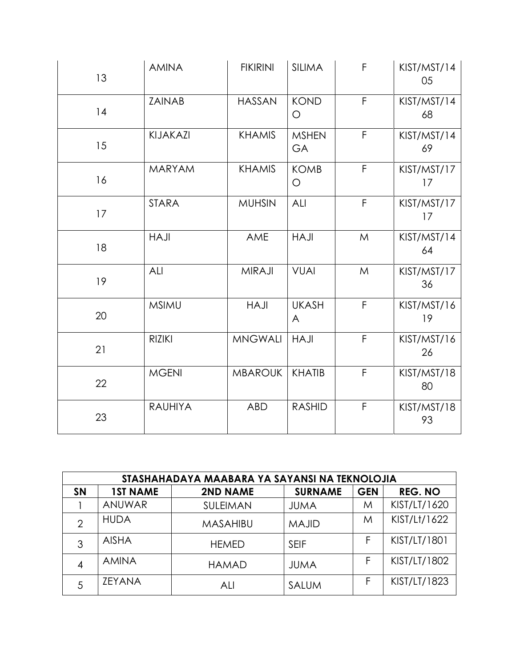| 13 | <b>AMINA</b>   | <b>FIKIRINI</b> | <b>SILIMA</b>      | F            | KIST/MST/14<br>05 |
|----|----------------|-----------------|--------------------|--------------|-------------------|
| 14 | <b>ZAINAB</b>  | <b>HASSAN</b>   | <b>KOND</b><br>O   | $\mathsf F$  | KIST/MST/14<br>68 |
| 15 | KIJAKAZI       | <b>KHAMIS</b>   | <b>MSHEN</b><br>GA | $\mathsf F$  | KIST/MST/14<br>69 |
| 16 | <b>MARYAM</b>  | <b>KHAMIS</b>   | <b>KOMB</b><br>O   | $\mathsf{F}$ | KIST/MST/17<br>17 |
| 17 | <b>STARA</b>   | <b>MUHSIN</b>   | ALI                | $\mathsf{F}$ | KIST/MST/17<br>17 |
| 18 | <b>HAJI</b>    | AME             | <b>HAJI</b>        | M            | KIST/MST/14<br>64 |
| 19 | ALI            | <b>MIRAJI</b>   | <b>VUAI</b>        | M            | KIST/MST/17<br>36 |
| 20 | <b>MSIMU</b>   | <b>HAJI</b>     | <b>UKASH</b><br>A  | F            | KIST/MST/16<br>19 |
| 21 | <b>RIZIKI</b>  | <b>MNGWALI</b>  | <b>HAJI</b>        | $\mathsf{F}$ | KIST/MST/16<br>26 |
| 22 | <b>MGENI</b>   | <b>MBAROUK</b>  | <b>KHATIB</b>      | $\mathsf{F}$ | KIST/MST/18<br>80 |
| 23 | <b>RAUHIYA</b> | <b>ABD</b>      | <b>RASHID</b>      | F            | KIST/MST/18<br>93 |

|               | STASHAHADAYA MAABARA YA SAYANSI NA TEKNOLOJIA |                 |                |            |                |  |  |
|---------------|-----------------------------------------------|-----------------|----------------|------------|----------------|--|--|
| <b>SN</b>     | <b>1ST NAME</b>                               | <b>2ND NAME</b> | <b>SURNAME</b> | <b>GEN</b> | <b>REG. NO</b> |  |  |
|               | ANUWAR                                        | SULEIMAN        | <b>JUMA</b>    | M          | KIST/LT/1620   |  |  |
| $\mathcal{P}$ | <b>HUDA</b>                                   | MASAHIBU        | <b>MAJID</b>   | M          | KIST/Lt/1622   |  |  |
| 3             | <b>AISHA</b>                                  | <b>HEMED</b>    | <b>SEIF</b>    | F          | KIST/LT/1801   |  |  |
| 4             | <b>AMINA</b>                                  | <b>HAMAD</b>    | <b>JUMA</b>    | F          | KIST/LT/1802   |  |  |
| 5             | <b>ZEYANA</b>                                 | ALI             | SALUM          | F          | KIST/LT/1823   |  |  |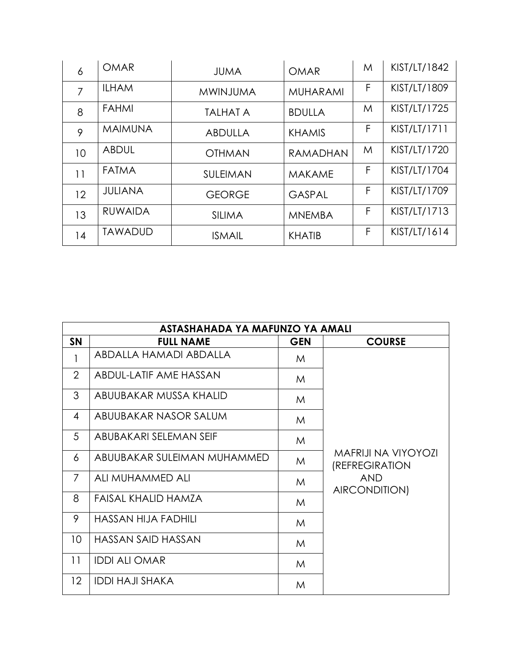| 6  | <b>OMAR</b>    | <b>JUMA</b>     | <b>OMAR</b>     | M | KIST/LT/1842 |
|----|----------------|-----------------|-----------------|---|--------------|
| 7  | <b>ILHAM</b>   | <b>MWINJUMA</b> | <b>MUHARAMI</b> | F | KIST/LT/1809 |
| 8  | <b>FAHMI</b>   | <b>TALHAT A</b> | <b>BDULLA</b>   | M | KIST/LT/1725 |
| 9  | <b>MAIMUNA</b> | <b>ABDULLA</b>  | <b>KHAMIS</b>   | F | KIST/LT/1711 |
| 10 | <b>ABDUL</b>   | <b>OTHMAN</b>   | <b>RAMADHAN</b> | M | KIST/LT/1720 |
| 11 | <b>FATMA</b>   | <b>SULEIMAN</b> | <b>MAKAME</b>   | F | KIST/LT/1704 |
| 12 | <b>JULIANA</b> | <b>GEORGE</b>   | <b>GASPAL</b>   | F | KIST/LT/1709 |
| 13 | <b>RUWAIDA</b> | <b>SILIMA</b>   | <b>MNEMBA</b>   | F | KIST/LT/1713 |
| 14 | <b>TAWADUD</b> | <b>ISMAIL</b>   | <b>KHATIB</b>   | F | KIST/LT/1614 |

|                   | ASTASHAHADA YA MAFUNZO YA AMALI |            |                                              |
|-------------------|---------------------------------|------------|----------------------------------------------|
| <b>SN</b>         | <b>FULL NAME</b>                | <b>GEN</b> | <b>COURSE</b>                                |
| 1                 | ABDALLA HAMADI ABDALLA          | M          |                                              |
| $\overline{2}$    | ABDUL-LATIF AME HASSAN          | M          |                                              |
| 3                 | ABUUBAKAR MUSSA KHALID          | M          |                                              |
| 4                 | ABUUBAKAR NASOR SALUM           | M          |                                              |
| 5                 | ABUBAKARI SELEMAN SEIF          | M          |                                              |
| 6                 | ABUUBAKAR SULEIMAN MUHAMMED     | M          | <b>MAFRIJI NA VIYOYOZI</b><br>(REFREGIRATION |
| 7                 | ALI MUHAMMED ALI                | M          | <b>AND</b><br>AIRCONDITION)                  |
| 8                 | FAISAL KHALID HAMZA             | M          |                                              |
| 9                 | <b>HASSAN HIJA FADHILI</b>      | M          |                                              |
| 10 <sup>°</sup>   | HASSAN SAID HASSAN              | M          |                                              |
| 11                | <b>IDDI ALI OMAR</b>            | M          |                                              |
| $12 \overline{ }$ | <b>IDDI HAJI SHAKA</b>          | M          |                                              |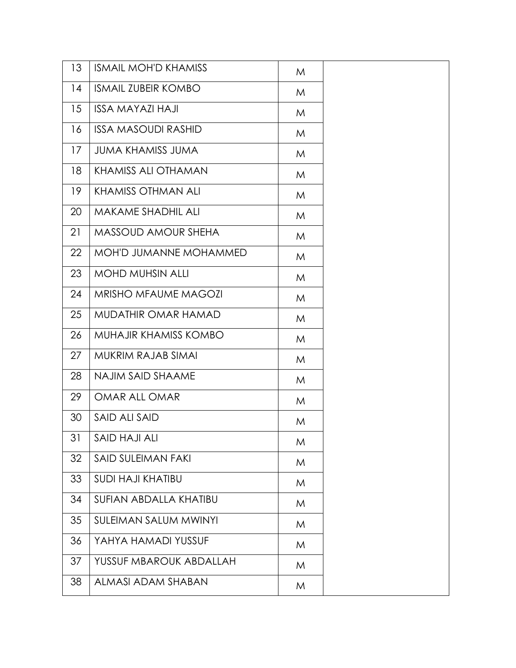| 13 | <b>ISMAIL MOH'D KHAMISS</b>   | M |  |
|----|-------------------------------|---|--|
| 14 | <b>ISMAIL ZUBEIR KOMBO</b>    | M |  |
| 15 | <b>ISSA MAYAZI HAJI</b>       | M |  |
| 16 | <b>ISSA MASOUDI RASHID</b>    | M |  |
| 17 | <b>JUMA KHAMISS JUMA</b>      | M |  |
| 18 | <b>KHAMISS ALI OTHAMAN</b>    | M |  |
| 19 | <b>KHAMISS OTHMAN ALI</b>     | M |  |
| 20 | MAKAME SHADHIL ALI            | M |  |
| 21 | <b>MASSOUD AMOUR SHEHA</b>    | M |  |
| 22 | <b>MOH'D JUMANNE MOHAMMED</b> | M |  |
| 23 | <b>MOHD MUHSIN ALLI</b>       | M |  |
| 24 | <b>MRISHO MFAUME MAGOZI</b>   | M |  |
| 25 | MUDATHIR OMAR HAMAD           | M |  |
| 26 | MUHAJIR KHAMISS KOMBO         | M |  |
| 27 | MUKRIM RAJAB SIMAI            | M |  |
| 28 | NAJIM SAID SHAAME             | M |  |
| 29 | OMAR ALL OMAR                 | M |  |
| 30 | SAID ALI SAID                 | M |  |
| 31 | SAID HAJI ALI                 | M |  |
| 32 | <b>SAID SULEIMAN FAKI</b>     | M |  |
| 33 | <b>SUDI HAJI KHATIBU</b>      | M |  |
| 34 | SUFIAN ABDALLA KHATIBU        | M |  |
| 35 | <b>SULEIMAN SALUM MWINYI</b>  | M |  |
| 36 | YAHYA HAMADI YUSSUF           | M |  |
| 37 | YUSSUF MBAROUK ABDALLAH       | M |  |
| 38 |                               |   |  |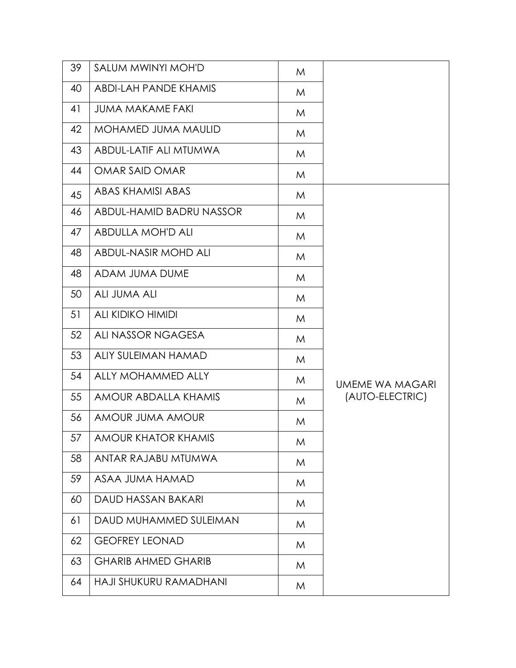| 39 | SALUM MWINYI MOH'D            | M |                        |
|----|-------------------------------|---|------------------------|
| 40 | <b>ABDI-LAH PANDE KHAMIS</b>  | M |                        |
| 41 | <b>JUMA MAKAME FAKI</b>       | M |                        |
| 42 | <b>MOHAMED JUMA MAULID</b>    | M |                        |
| 43 | <b>ABDUL-LATIF ALI MTUMWA</b> | M |                        |
| 44 | OMAR SAID OMAR                | M |                        |
| 45 | ABAS KHAMISI ABAS             | M |                        |
| 46 | ABDUL-HAMID BADRU NASSOR      | M |                        |
| 47 | <b>ABDULLA MOH'D ALI</b>      | M |                        |
| 48 | <b>ABDUL-NASIR MOHD ALI</b>   | M |                        |
| 48 | ADAM JUMA DUME                | M |                        |
| 50 | <b>ALI JUMA ALI</b>           | M |                        |
| 51 | <b>ALI KIDIKO HIMIDI</b>      | M |                        |
| 52 | ALI NASSOR NGAGESA            | M |                        |
| 53 | <b>ALIY SULEIMAN HAMAD</b>    | M |                        |
| 54 | ALLY MOHAMMED ALLY            | M | <b>UMEME WA MAGARI</b> |
| 55 | <b>AMOUR ABDALLA KHAMIS</b>   | M | (AUTO-ELECTRIC)        |
| 56 | AMOUR JUMA AMOUR              | M |                        |
| 57 | <b>AMOUR KHATOR KHAMIS</b>    | M |                        |
| 58 | ANTAR RAJABU MTUMWA           | M |                        |
| 59 | ASAA JUMA HAMAD               | M |                        |
| 60 | DAUD HASSAN BAKARI            | M |                        |
| 61 | DAUD MUHAMMED SULEIMAN        | M |                        |
| 62 | <b>GEOFREY LEONAD</b>         | M |                        |
| 63 | <b>GHARIB AHMED GHARIB</b>    | M |                        |
| 64 | HAJI SHUKURU RAMADHANI        | M |                        |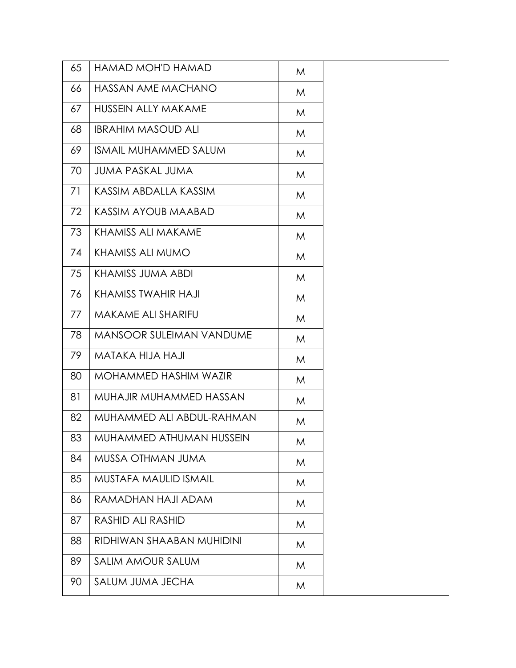| 65 | HAMAD MOH'D HAMAD               | M |  |
|----|---------------------------------|---|--|
| 66 | HASSAN AME MACHANO              | M |  |
| 67 | <b>HUSSEIN ALLY MAKAME</b>      | M |  |
| 68 | <b>IBRAHIM MASOUD ALI</b>       | M |  |
| 69 | <b>ISMAIL MUHAMMED SALUM</b>    | M |  |
| 70 | JUMA PASKAL JUMA                | M |  |
| 71 | KASSIM ABDALLA KASSIM           | M |  |
| 72 | KASSIM AYOUB MAABAD             | M |  |
| 73 | KHAMISS ALI MAKAME              | M |  |
| 74 | KHAMISS ALI MUMO                | M |  |
| 75 | KHAMISS JUMA ABDI               | M |  |
| 76 | KHAMISS TWAHIR HAJI             | M |  |
| 77 | MAKAME ALI SHARIFU              | M |  |
| 78 | <b>MANSOOR SULEIMAN VANDUME</b> | M |  |
| 79 | MATAKA HIJA HAJI                | M |  |
| 80 | MOHAMMED HASHIM WAZIR           | M |  |
| 81 | MUHAJIR MUHAMMED HASSAN         | M |  |
| 82 | MUHAMMED ALI ABDUL-RAHMAN       | M |  |
| 83 | MUHAMMED ATHUMAN HUSSEIN        | M |  |
| 84 | MUSSA OTHMAN JUMA               | M |  |
| 85 | MUSTAFA MAULID ISMAIL           | M |  |
| 86 | RAMADHAN HAJI ADAM              | M |  |
| 87 | RASHID ALI RASHID               | M |  |
| 88 | RIDHIWAN SHAABAN MUHIDINI       | M |  |
| 89 | SALIM AMOUR SALUM               | M |  |
| 90 | SALUM JUMA JECHA                | M |  |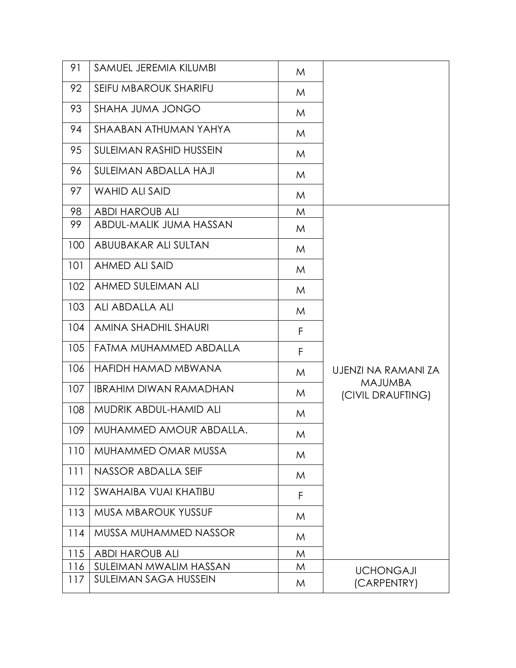| 91  | SAMUEL JEREMIA KILUMBI         | M |                                     |
|-----|--------------------------------|---|-------------------------------------|
| 92  | SEIFU MBAROUK SHARIFU          | M |                                     |
| 93  | <b>SHAHA JUMA JONGO</b>        | M |                                     |
| 94  | SHAABAN ATHUMAN YAHYA          | M |                                     |
| 95  | <b>SULEIMAN RASHID HUSSEIN</b> | M |                                     |
| 96  | SULEIMAN ABDALLA HAJI          | M |                                     |
| 97  | <b>WAHID ALI SAID</b>          | M |                                     |
| 98  | <b>ABDI HAROUB ALI</b>         | M |                                     |
| 99  | ABDUL-MALIK JUMA HASSAN        | M |                                     |
| 100 | ABUUBAKAR ALI SULTAN           | M |                                     |
| 101 | <b>AHMED ALI SAID</b>          | M |                                     |
| 102 | AHMED SULEIMAN ALI             | M |                                     |
| 103 | ALI ABDALLA ALI                | M |                                     |
| 104 | AMINA SHADHIL SHAURI           | F |                                     |
| 105 | FATMA MUHAMMED ABDALLA         | F |                                     |
| 106 | HAFIDH HAMAD MBWANA            | M | UJENZI NA RAMANI ZA                 |
| 107 | <b>IBRAHIM DIWAN RAMADHAN</b>  | M | <b>MAJUMBA</b><br>(CIVIL DRAUFTING) |
| 108 | MUDRIK ABDUL-HAMID ALI         | M |                                     |
| 109 | MUHAMMED AMOUR ABDALLA.        | M |                                     |
| 110 | <b>MUHAMMED OMAR MUSSA</b>     | M |                                     |
| 111 | NASSOR ABDALLA SEIF            | M |                                     |
| 112 | SWAHAIBA VUAI KHATIBU          | F |                                     |
| 113 | <b>MUSA MBAROUK YUSSUF</b>     | M |                                     |
| 114 | MUSSA MUHAMMED NASSOR          | M |                                     |
| 115 | <b>ABDI HAROUB ALI</b>         | M |                                     |
| 116 | SULEIMAN MWALIM HASSAN         | M |                                     |
| 117 | <b>SULEIMAN SAGA HUSSEIN</b>   | M | <b>UCHONGAJI</b><br>(CARPENTRY)     |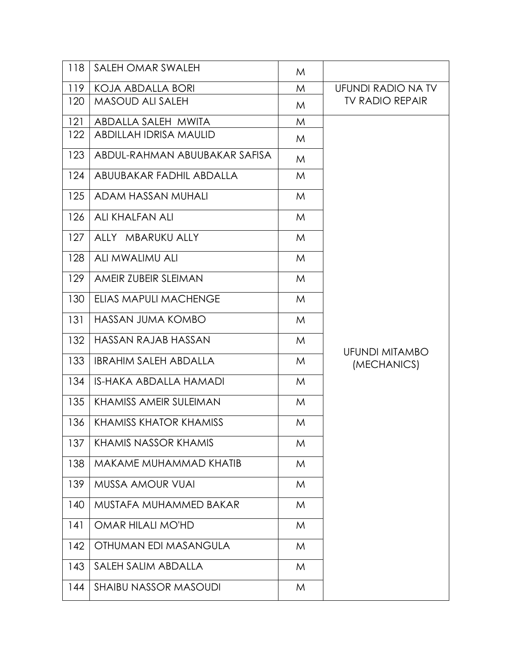| 118 | SALEH OMAR SWALEH             | M |                                      |
|-----|-------------------------------|---|--------------------------------------|
| 119 | KOJA ABDALLA BORI             | M | UFUNDI RADIO NA TV                   |
| 120 | <b>MASOUD ALI SALEH</b>       | M | <b>TV RADIO REPAIR</b>               |
| 121 | ABDALLA SALEH MWITA           | M |                                      |
| 122 | ABDILLAH IDRISA MAULID        | M |                                      |
| 123 | ABDUL-RAHMAN ABUUBAKAR SAFISA | M |                                      |
| 124 | ABUUBAKAR FADHIL ABDALLA      | M |                                      |
| 125 | ADAM HASSAN MUHALI            | M |                                      |
| 126 | ALI KHALFAN ALI               | M |                                      |
| 127 | ALLY MBARUKU ALLY             | M |                                      |
| 128 | ALI MWALIMU ALI               | M |                                      |
| 129 | AMEIR ZUBEIR SLEIMAN          | M |                                      |
| 130 | ELIAS MAPULI MACHENGE         | M |                                      |
| 131 | <b>HASSAN JUMA KOMBO</b>      | M |                                      |
| 132 | HASSAN RAJAB HASSAN           | M |                                      |
| 133 | <b>IBRAHIM SALEH ABDALLA</b>  | M | <b>UFUNDI MITAMBO</b><br>(MECHANICS) |
| 134 | <b>IS-HAKA ABDALLA HAMADI</b> | M |                                      |
| 135 | <b>KHAMISS AMEIR SULEIMAN</b> | M |                                      |
| 136 | <b>KHAMISS KHATOR KHAMISS</b> | M |                                      |
| 137 | <b>KHAMIS NASSOR KHAMIS</b>   | M |                                      |
| 138 | MAKAME MUHAMMAD KHATIB        | M |                                      |
| 139 | <b>MUSSA AMOUR VUAI</b>       | M |                                      |
| 140 | MUSTAFA MUHAMMED BAKAR        | M |                                      |
| 4   | OMAR HILALI MO'HD             | M |                                      |
| 142 | OTHUMAN EDI MASANGULA         | M |                                      |
| 143 | SALEH SALIM ABDALLA           | M |                                      |
| 144 | <b>SHAIBU NASSOR MASOUDI</b>  | M |                                      |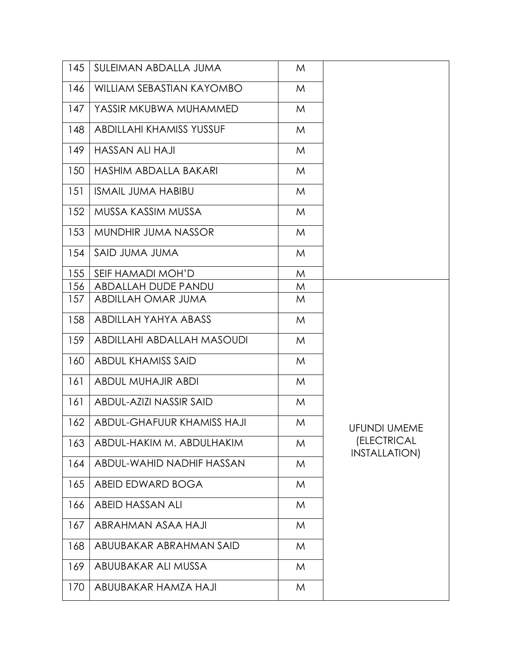| 145 | SULEIMAN ABDALLA JUMA           | M |                              |
|-----|---------------------------------|---|------------------------------|
| 146 | WILLIAM SEBASTIAN KAYOMBO       | M |                              |
| 147 | YASSIR MKUBWA MUHAMMED          | M |                              |
| 148 | <b>ABDILLAHI KHAMISS YUSSUF</b> | M |                              |
| 149 | <b>HASSAN ALI HAJI</b>          | M |                              |
| 150 | HASHIM ABDALLA BAKARI           | M |                              |
| 151 | <b>ISMAIL JUMA HABIBU</b>       | M |                              |
| 152 | MUSSA KASSIM MUSSA              | M |                              |
| 153 | <b>MUNDHIR JUMA NASSOR</b>      | M |                              |
| 154 | SAID JUMA JUMA                  | M |                              |
| 155 | SEIF HAMADI MOH'D               | M |                              |
| 156 | ABDALLAH DUDE PANDU             | M |                              |
| 157 | ABDILLAH OMAR JUMA              | M |                              |
| 158 | ABDILLAH YAHYA ABASS            | M |                              |
| 159 | ABDILLAHI ABDALLAH MASOUDI      | M |                              |
| 160 | <b>ABDUL KHAMISS SAID</b>       | M |                              |
| 161 | <b>ABDUL MUHAJIR ABDI</b>       | M |                              |
| 161 | ABDUL-AZIZI NASSIR SAID         | M |                              |
| 162 | ABDUL-GHAFUUR KHAMISS HAJI      | M | <b>UFUNDI UMEME</b>          |
| 163 | ABDUL-HAKIM M. ABDULHAKIM       | M | (ELECTRICAL<br>INSTALLATION) |
| 164 | ABDUL-WAHID NADHIF HASSAN       | M |                              |
| 165 | ABEID EDWARD BOGA               | M |                              |
| 166 | <b>ABEID HASSAN ALI</b>         | M |                              |
| 167 | ABRAHMAN ASAA HAJI              | M |                              |
| 168 | ABUUBAKAR ABRAHMAN SAID         | M |                              |
| 169 | ABUUBAKAR ALI MUSSA             | M |                              |
| 170 | ABUUBAKAR HAMZA HAJI            | M |                              |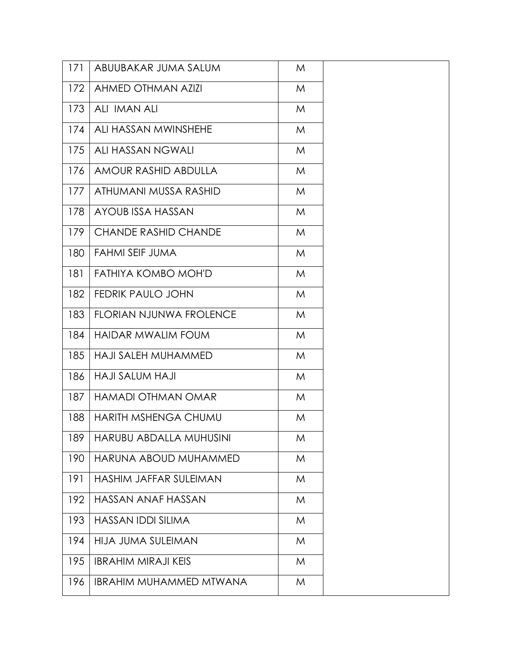| 171 | ABUUBAKAR JUMA SALUM           | M |
|-----|--------------------------------|---|
| 172 | <b>AHMED OTHMAN AZIZI</b>      | M |
| 173 | ALI IMAN ALI                   | M |
| 174 | ALI HASSAN MWINSHEHE           | M |
| 175 | ALI HASSAN NGWALI              | M |
| 176 | AMOUR RASHID ABDULLA           | M |
| 177 | ATHUMANI MUSSA RASHID          | M |
| 178 | AYOUB ISSA HASSAN              | M |
| 179 | <b>CHANDE RASHID CHANDE</b>    | M |
| 180 | FAHMI SEIF JUMA                | M |
| 181 | FATHIYA KOMBO MOH'D            | M |
| 182 | FEDRIK PAULO JOHN              | M |
| 183 | FLORIAN NJUNWA FROLENCE        | M |
| 184 | <b>HAIDAR MWALIM FOUM</b>      | M |
| 185 | <b>HAJI SALEH MUHAMMED</b>     | M |
| 186 | HAJI SALUM HAJI                | M |
| 187 | <b>HAMADI OTHMAN OMAR</b>      | M |
| 188 | HARITH MSHENGA CHUMU           | M |
| 189 | HARUBU ABDALLA MUHUSINI-       | M |
| 190 | HARUNA ABOUD MUHAMMED          | M |
| 191 | HASHIM JAFFAR SULEIMAN         | M |
| 192 | HASSAN ANAF HASSAN             | M |
| 193 | <b>HASSAN IDDI SILIMA</b>      | M |
| 194 | HIJA JUMA SULEIMAN             | M |
| 195 | <b>IBRAHIM MIRAJI KEIS</b>     | M |
| 196 | <b>IBRAHIM MUHAMMED MTWANA</b> | M |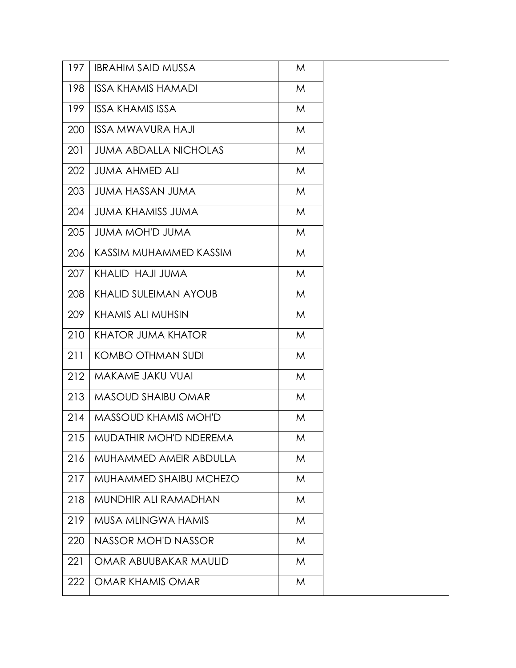| 197 | <b>IBRAHIM SAID MUSSA</b>    | M |  |
|-----|------------------------------|---|--|
| 198 | <b>ISSA KHAMIS HAMADI</b>    | M |  |
| 199 | <b>ISSA KHAMIS ISSA</b>      | M |  |
| 200 | <b>ISSA MWAVURA HAJI</b>     | M |  |
| 201 | <b>JUMA ABDALLA NICHOLAS</b> | M |  |
| 202 | <b>JUMA AHMED ALI</b>        | M |  |
| 203 | <b>JUMA HASSAN JUMA</b>      | M |  |
| 204 | <b>JUMA KHAMISS JUMA</b>     | M |  |
| 205 | <b>JUMA MOH'D JUMA</b>       | M |  |
| 206 | KASSIM MUHAMMED KASSIM       | M |  |
| 207 | KHALID HAJI JUMA             | M |  |
| 208 | <b>KHALID SULEIMAN AYOUB</b> | M |  |
| 209 | KHAMIS ALI MUHSIN            | M |  |
| 210 | <b>KHATOR JUMA KHATOR</b>    | M |  |
| 211 | KOMBO OTHMAN SUDI            | M |  |
| 212 | MAKAME JAKU VUAI             | M |  |
| 213 | <b>MASOUD SHAIBU OMAR</b>    | M |  |
| 214 | <b>MASSOUD KHAMIS MOH'D</b>  | M |  |
| 215 | MUDATHIR MOH'D NDEREMA       | M |  |
| 216 | MUHAMMED AMEIR ABDULLA       | M |  |
| 217 | MUHAMMED SHAIBU MCHEZO       | M |  |
| 218 | MUNDHIR ALI RAMADHAN         | M |  |
| 219 | <b>MUSA MLINGWA HAMIS</b>    | M |  |
| 220 | <b>NASSOR MOH'D NASSOR</b>   | M |  |
| 221 | OMAR ABUUBAKAR MAULID        | M |  |
| 222 | OMAR KHAMIS OMAR             | M |  |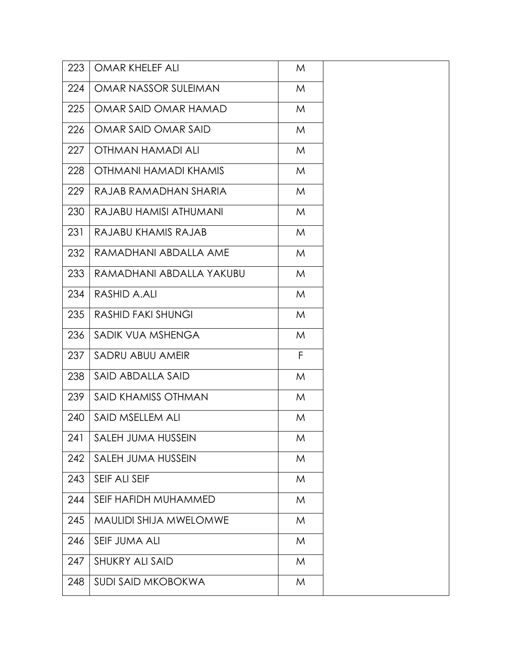| 223 | OMAR KHELEF ALI               | M |  |
|-----|-------------------------------|---|--|
| 224 | OMAR NASSOR SULEIMAN          | M |  |
| 225 | OMAR SAID OMAR HAMAD          | M |  |
| 226 | OMAR SAID OMAR SAID           | M |  |
| 227 | OTHMAN HAMADI ALI             | M |  |
| 228 | OTHMANI HAMADI KHAMIS         | M |  |
| 229 | RAJAB RAMADHAN SHARIA         | M |  |
| 230 | RAJABU HAMISI ATHUMANI        | M |  |
| 231 | RAJABU KHAMIS RAJAB           | M |  |
| 232 | RAMADHANI ABDALLA AME         | M |  |
| 233 | RAMADHANI ABDALLA YAKUBU      | M |  |
| 234 | RASHID A.ALI                  | M |  |
| 235 | <b>RASHID FAKI SHUNGI</b>     | M |  |
| 236 | SADIK VUA MSHENGA             | M |  |
| 237 | SADRU ABUU AMEIR              | F |  |
| 238 | SAID ABDALLA SAID             | M |  |
| 239 | SAID KHAMISS OTHMAN           | M |  |
| 240 | SAID MSELLEM ALI              | M |  |
|     | 241   SALEH JUMA HUSSEIN      | M |  |
| 242 | SALEH JUMA HUSSEIN            | M |  |
| 243 | SEIF ALI SEIF                 | M |  |
| 244 | SEIF HAFIDH MUHAMMED          | M |  |
| 245 | <b>MAULIDI SHIJA MWELOMWE</b> | M |  |
| 246 | SEIF JUMA ALI                 | M |  |
| 247 | <b>SHUKRY ALI SAID</b>        | M |  |
| 248 | <b>SUDI SAID MKOBOKWA</b>     | M |  |
|     |                               |   |  |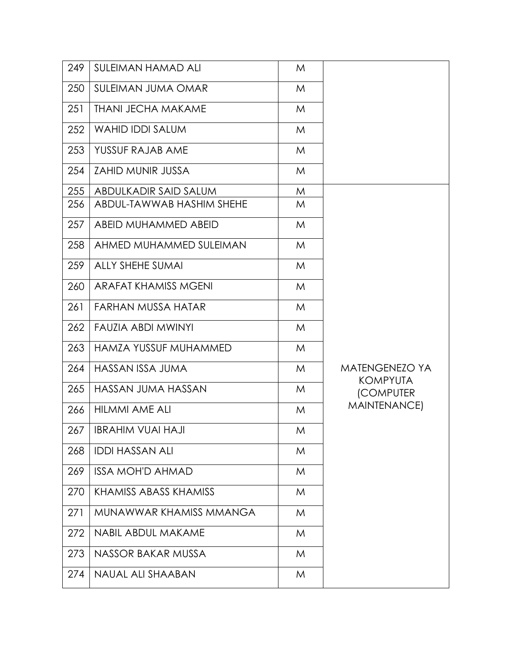| 249 | <b>SULEIMAN HAMAD ALI</b>        | M |                                                     |
|-----|----------------------------------|---|-----------------------------------------------------|
| 250 | <b>SULEIMAN JUMA OMAR</b>        | M |                                                     |
| 251 | <b><i>THANI JECHA MAKAME</i></b> | M |                                                     |
| 252 | <b>WAHID IDDI SALUM</b>          | M |                                                     |
| 253 | YUSSUF RAJAB AME                 | M |                                                     |
| 254 | <b>ZAHID MUNIR JUSSA</b>         | M |                                                     |
| 255 | ABDULKADIR SAID SALUM            | M |                                                     |
| 256 | ABDUL-TAWWAB HASHIM SHEHE        | M |                                                     |
| 257 | ABEID MUHAMMED ABEID             | M |                                                     |
| 258 | AHMED MUHAMMED SULEIMAN          | M |                                                     |
| 259 | ALLY SHEHE SUMAI                 | M |                                                     |
| 260 | <b>ARAFAT KHAMISS MGENI</b>      | M |                                                     |
| 261 | <b>FARHAN MUSSA HATAR</b>        | M |                                                     |
| 262 | <b>FAUZIA ABDI MWINYI</b>        | M |                                                     |
| 263 | HAMZA YUSSUF MUHAMMED            | M |                                                     |
| 264 | HASSAN ISSA JUMA                 | M | <b>MATENGENEZO YA</b>                               |
| 265 | HASSAN JUMA HASSAN               | M | <b>KOMPYUTA</b><br><b>(COMPUTER</b><br>MAINTENANCE) |
| 266 | HILMMI AME ALI                   | M |                                                     |
| 267 | <b>IBRAHIM VUAI HAJI</b>         | M |                                                     |
| 268 | <b>IDDI HASSAN ALI</b>           | M |                                                     |
| 269 | <b>ISSA MOH'D AHMAD</b>          | M |                                                     |
| 270 | KHAMISS ABASS KHAMISS            | M |                                                     |
| 271 | MUNAWWAR KHAMISS MMANGA          | M |                                                     |
| 272 | <b>NABIL ABDUL MAKAME</b>        | M |                                                     |
| 273 | NASSOR BAKAR MUSSA               | M |                                                     |
| 274 | NAUAL ALI SHAABAN                | M |                                                     |